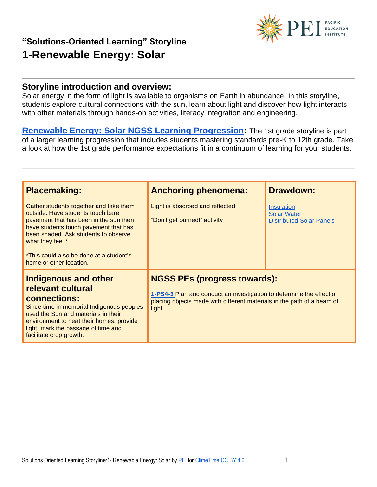# **PET EDUCATION**

## **"Solutions-Oriented Learning" Storyline 1-Renewable Energy: Solar**

#### **Storyline introduction and overview:**

Solar energy in the form of light is available to organisms on Earth in abundance. In this storyline, students explore cultural connections with the sun, learn about light and discover how light interacts with other materials through hands-on activities, literacy integration and engineering.

**[Renewable Energy: Solar NGSS Learning Progression:](https://pacificeductioninstitute.sharepoint.com/:x:/s/Program/EY60DFvGUuZJjikn2P8aFigBva60ASyBZ8MJ7JF9vheITA?e=Y47aok)** The 1st grade storyline is part of a larger learning progression that includes students mastering standards pre-K to 12th grade. Take a look at how the 1st grade performance expectations fit in a continuum of learning for your students.

| <b>Placemaking:</b>                                                                                                                                                                                                                                                                              | <b>Anchoring phenomena:</b>                                                                                                                                                                     | <b>Drawdown:</b>                                                    |
|--------------------------------------------------------------------------------------------------------------------------------------------------------------------------------------------------------------------------------------------------------------------------------------------------|-------------------------------------------------------------------------------------------------------------------------------------------------------------------------------------------------|---------------------------------------------------------------------|
| Gather students together and take them<br>outside. Have students touch bare<br>pavement that has been in the sun then<br>have students touch pavement that has<br>been shaded. Ask students to observe<br>what they feel.*<br>*This could also be done at a student's<br>home or other location. | Light is absorbed and reflected.<br>"Don't get burned!" activity                                                                                                                                | Insulation<br><b>Solar Water</b><br><b>Distributed Solar Panels</b> |
| <b>Indigenous and other</b><br>relevant cultural<br>connections:<br>Since time immemorial Indigenous peoples<br>used the Sun and materials in their<br>environment to heat their homes, provide<br>light, mark the passage of time and<br>facilitate crop growth.                                | <b>NGSS PEs (progress towards):</b><br>1-PS4-3 Plan and conduct an investigation to determine the effect of<br>placing objects made with different materials in the path of a beam of<br>light. |                                                                     |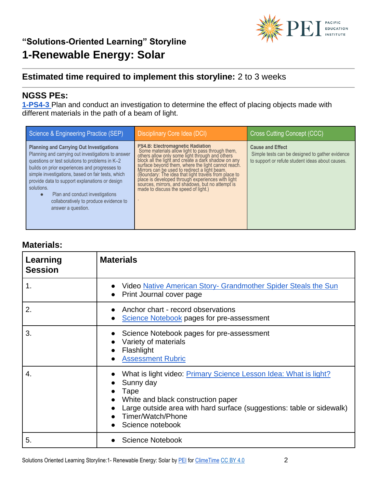## **Estimated time required to implement this storyline:** 2 to 3 weeks

## **NGSS PEs:**

**[1-PS4-3](https://www.nextgenscience.org/sites/default/files/evidence_statement/black_white/1-PS4-3%20Evidence%20Statements%20June%202015%20asterisks.pdf)** [P](https://www.nextgenscience.org/sites/default/files/evidence_statement/black_white/1-PS4-3%20Evidence%20Statements%20June%202015%20asterisks.pdf)lan and conduct an investigation to determine the effect of placing objects made with different materials in the path of a beam of light.

| Science & Engineering Practice (SEP)                                                                                                                                                                                                                                                                                                                                                                                                          | Disciplinary Core Idea (DCI)                                                                                                                                                                                                                                                                                                                                                                                                                                                                                          | Cross Cutting Concept (CCC)                                                                                                    |
|-----------------------------------------------------------------------------------------------------------------------------------------------------------------------------------------------------------------------------------------------------------------------------------------------------------------------------------------------------------------------------------------------------------------------------------------------|-----------------------------------------------------------------------------------------------------------------------------------------------------------------------------------------------------------------------------------------------------------------------------------------------------------------------------------------------------------------------------------------------------------------------------------------------------------------------------------------------------------------------|--------------------------------------------------------------------------------------------------------------------------------|
| <b>Planning and Carrying Out Investigations</b><br>Planning and carrying out investigations to answer<br>questions or test solutions to problems in K-2<br>builds on prior experiences and progresses to<br>simple investigations, based on fair tests, which<br>provide data to support explanations or design<br>solutions.<br>Plan and conduct investigations<br>$\bullet$<br>collaboratively to produce evidence to<br>answer a question. | <b>PS4.B: Electromagnetic Radiation</b><br>Some materials allow light to pass through them,<br>others allow only some light through and others<br>block all the light and create a dark shadow on any<br>surface beyond them, where the light cannot reach.<br>Mirrors can be used to redirect a light beam.<br>(Boundary: The idea that light travels from place to<br>place is developed through experiences with light<br>sources, mirrors, and shadows, but no attempt is<br>made to discuss the speed of light.) | <b>Cause and Effect</b><br>Simple tests can be designed to gather evidence<br>to support or refute student ideas about causes. |

#### **Materials:**

| Learning<br><b>Session</b> | <b>Materials</b>                                                                                                                                                                                                                                     |
|----------------------------|------------------------------------------------------------------------------------------------------------------------------------------------------------------------------------------------------------------------------------------------------|
| 1.                         | Video Native American Story- Grandmother Spider Steals the Sun<br>Print Journal cover page                                                                                                                                                           |
| 2.                         | Anchor chart - record observations<br>Science Notebook pages for pre-assessment                                                                                                                                                                      |
| 3.                         | Science Notebook pages for pre-assessment<br>Variety of materials<br>Flashlight<br><b>Assessment Rubric</b>                                                                                                                                          |
| 4.                         | What is light video: <b>Primary Science Lesson Idea: What is light?</b><br>Sunny day<br>Tape<br>White and black construction paper<br>Large outside area with hard surface (suggestions: table or sidewalk)<br>Timer/Watch/Phone<br>Science notebook |
| 5.                         | <b>Science Notebook</b>                                                                                                                                                                                                                              |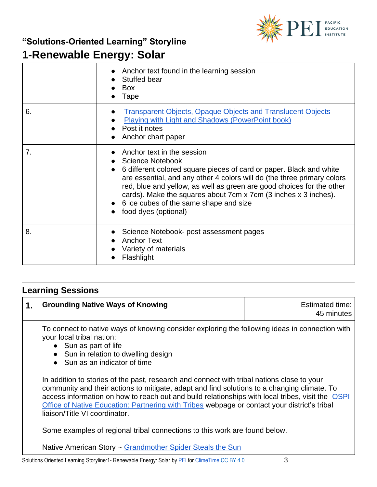

## **"Solutions-Oriented Learning" Storyline**

# **1-Renewable Energy: Solar**

|    | Anchor text found in the learning session<br>Stuffed bear<br><b>Box</b><br>Tape                                                                                                                                                                                                                                                                                                                                       |
|----|-----------------------------------------------------------------------------------------------------------------------------------------------------------------------------------------------------------------------------------------------------------------------------------------------------------------------------------------------------------------------------------------------------------------------|
| 6. | <b>Transparent Objects, Opaque Objects and Translucent Objects</b><br><b>Playing with Light and Shadows (PowerPoint book)</b><br>Post it notes<br>Anchor chart paper                                                                                                                                                                                                                                                  |
| 7. | Anchor text in the session<br><b>Science Notebook</b><br>6 different colored square pieces of card or paper. Black and white<br>are essential, and any other 4 colors will do (the three primary colors<br>red, blue and yellow, as well as green are good choices for the other<br>cards). Make the squares about 7cm x 7cm (3 inches x 3 inches).<br>6 ice cubes of the same shape and size<br>food dyes (optional) |
| 8. | Science Notebook- post assessment pages<br><b>Anchor Text</b><br>Variety of materials<br>Flashlight                                                                                                                                                                                                                                                                                                                   |

## **Learning Sessions**

| 1. | <b>Grounding Native Ways of Knowing</b>                                                                                                                                                                                                                                                                                                                                                                                        | Estimated time:<br>45 minutes |
|----|--------------------------------------------------------------------------------------------------------------------------------------------------------------------------------------------------------------------------------------------------------------------------------------------------------------------------------------------------------------------------------------------------------------------------------|-------------------------------|
|    | To connect to native ways of knowing consider exploring the following ideas in connection with<br>your local tribal nation:<br>• Sun as part of life<br>• Sun in relation to dwelling design<br>• Sun as an indicator of time                                                                                                                                                                                                  |                               |
|    | In addition to stories of the past, research and connect with tribal nations close to your<br>community and their actions to mitigate, adapt and find solutions to a changing climate. To<br>access information on how to reach out and build relationships with local tribes, visit the OSPI<br>Office of Native Education: Partnering with Tribes webpage or contact your district's tribal<br>liaison/Title VI coordinator. |                               |
|    | Some examples of regional tribal connections to this work are found below.                                                                                                                                                                                                                                                                                                                                                     |                               |
|    | Native American Story ~ Grandmother Spider Steals the Sun                                                                                                                                                                                                                                                                                                                                                                      |                               |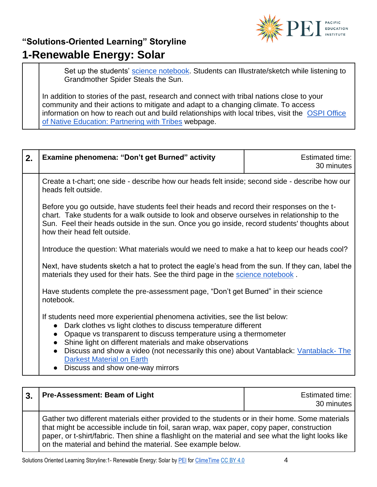

Set up the students' [science notebook.](https://pacificeductioninstitute.sharepoint.com/:w:/s/Program/Efb5wNjUUHhNj0gFk1a2cYMBlV0hw2es66qEToq5FMQqOg?e=UDhaDz) Students can Illustrate/sketch while listening to Grandmother Spider Steals the Sun.

In addition to stories of the past, research and connect with tribal nations close to your community and their actions to mitigate and adapt to a changing climate. To access information on how to reach out and build relationships with local tribes, visit the [OSPI Office](https://www.k12.wa.us/student-success/resources-subject-area/time-immemorial-tribal-sovereignty-washington-state/partnering-tribes)  [of Native Education: Partnering with Tribes](https://www.k12.wa.us/student-success/resources-subject-area/time-immemorial-tribal-sovereignty-washington-state/partnering-tribes) webpage.

| 2. | <b>Examine phenomena: "Don't get Burned" activity</b>                                                                                                                                                                                                                                                                                                                                                                                                                                                | <b>Estimated time:</b><br>30 minutes |
|----|------------------------------------------------------------------------------------------------------------------------------------------------------------------------------------------------------------------------------------------------------------------------------------------------------------------------------------------------------------------------------------------------------------------------------------------------------------------------------------------------------|--------------------------------------|
|    | Create a t-chart; one side - describe how our heads felt inside; second side - describe how our<br>heads felt outside.                                                                                                                                                                                                                                                                                                                                                                               |                                      |
|    | Before you go outside, have students feel their heads and record their responses on the t-<br>chart. Take students for a walk outside to look and observe ourselves in relationship to the<br>Sun. Feel their heads outside in the sun. Once you go inside, record students' thoughts about<br>how their head felt outside.                                                                                                                                                                          |                                      |
|    | Introduce the question: What materials would we need to make a hat to keep our heads cool?                                                                                                                                                                                                                                                                                                                                                                                                           |                                      |
|    | Next, have students sketch a hat to protect the eagle's head from the sun. If they can, label the<br>materials they used for their hats. See the third page in the science notebook.                                                                                                                                                                                                                                                                                                                 |                                      |
|    | Have students complete the pre-assessment page, "Don't get Burned" in their science<br>notebook.                                                                                                                                                                                                                                                                                                                                                                                                     |                                      |
|    | If students need more experiential phenomena activities, see the list below:<br>Dark clothes vs light clothes to discuss temperature different<br>$\bullet$<br>Opaque vs transparent to discuss temperature using a thermometer<br>$\bullet$<br>Shine light on different materials and make observations<br>$\bullet$<br>Discuss and show a video (not necessarily this one) about Vantablack: Vantablack-The<br>$\bullet$<br><b>Darkest Material on Earth</b><br>• Discuss and show one-way mirrors |                                      |

| $\overline{3}$ . | <b>Pre-Assessment: Beam of Light</b>                                                                                                                                                                                                                                                                                                                                | Estimated time:  <br>30 minutes |
|------------------|---------------------------------------------------------------------------------------------------------------------------------------------------------------------------------------------------------------------------------------------------------------------------------------------------------------------------------------------------------------------|---------------------------------|
|                  | Gather two different materials either provided to the students or in their home. Some materials<br>that might be accessible include tin foil, saran wrap, wax paper, copy paper, construction<br>paper, or t-shirt/fabric. Then shine a flashlight on the material and see what the light looks like<br>on the material and behind the material. See example below. |                                 |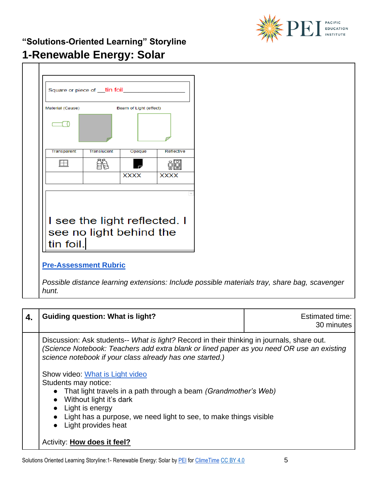

 $\mathbf{I}$ 

| Material (Cause)             |                    | Beam of Light (effect) |             |
|------------------------------|--------------------|------------------------|-------------|
| Transparent                  | <b>Translucent</b> | Opaque                 | Reflective  |
|                              |                    |                        |             |
|                              |                    | <b>XXXX</b>            | <b>XXXX</b> |
| I see the light reflected. I |                    |                        |             |

### **[Pre-Assessment Rubric](https://pacificeductioninstitute.sharepoint.com/:w:/s/Program/EaqBAEZbjsRDrJAy-b7edHkBZBRcJ5uerud8wKCY3jXkJg?e=UdIuSW)**

*Possible distance learning extensions: Include possible materials tray, share bag, scavenger hunt.*

| 4. | <b>Guiding question: What is light?</b>                                                                                                                                                                                                                                        | <b>Estimated time:</b><br>30 minutes |
|----|--------------------------------------------------------------------------------------------------------------------------------------------------------------------------------------------------------------------------------------------------------------------------------|--------------------------------------|
|    | Discussion: Ask students-- What is light? Record in their thinking in journals, share out.<br>(Science Notebook: Teachers add extra blank or lined paper as you need OR use an existing<br>science notebook if your class already has one started.)                            |                                      |
|    | Show video: What is Light video<br>Students may notice:<br>• That light travels in a path through a beam (Grandmother's Web)<br>• Without light it's dark<br>• Light is energy<br>• Light has a purpose, we need light to see, to make things visible<br>• Light provides heat |                                      |
|    | Activity: <b>How does it feel?</b>                                                                                                                                                                                                                                             |                                      |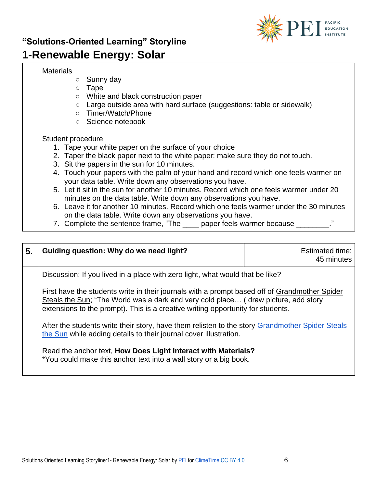

#### **Materials**

- Sunny day
- Tape
- White and black construction paper
- Large outside area with hard surface (suggestions: table or sidewalk)
- Timer/Watch/Phone
- Science notebook

#### Student procedure

- 1. Tape your white paper on the surface of your choice
- 2. Taper the black paper next to the white paper; make sure they do not touch.
- 3. Sit the papers in the sun for 10 minutes.
- 4. Touch your papers with the palm of your hand and record which one feels warmer on your data table. Write down any observations you have.
- 5. Let it sit in the sun for another 10 minutes. Record which one feels warmer under 20 minutes on the data table. Write down any observations you have.
- 6. Leave it for another 10 minutes. Record which one feels warmer under the 30 minutes on the data table. Write down any observations you have.
- 7. Complete the sentence frame, "The \_\_\_\_\_ paper feels warmer because  $\ddot{ }$ ."

| 5. | Guiding question: Why do we need light?                                                                                                                                                                                                                                | <b>Estimated time:</b><br>45 minutes |
|----|------------------------------------------------------------------------------------------------------------------------------------------------------------------------------------------------------------------------------------------------------------------------|--------------------------------------|
|    | Discussion: If you lived in a place with zero light, what would that be like?                                                                                                                                                                                          |                                      |
|    | First have the students write in their journals with a prompt based off of Grandmother Spider<br>Steals the Sun; "The World was a dark and very cold place (draw picture, add story<br>extensions to the prompt). This is a creative writing opportunity for students. |                                      |
|    | After the students write their story, have them relisten to the story Grandmother Spider Steals<br>the Sun while adding details to their journal cover illustration.                                                                                                   |                                      |
|    | Read the anchor text, How Does Light Interact with Materials?<br>*You could make this anchor text into a wall story or a big book.                                                                                                                                     |                                      |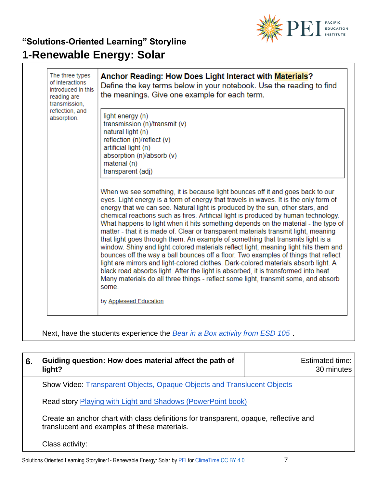

| light energy (n)<br>transmission (n)/transmit (v)<br>natural light (n)<br>reflection (n)/reflect (v)<br>artificial light (n)<br>absorption (n)/absorb (v)<br>material (n)<br>transparent (adj)                                                                                                                                                                                                                                                                                                                                                                                                                                                                                                                                                                                                                                                                                                                                                                                                                                                                                                        |
|-------------------------------------------------------------------------------------------------------------------------------------------------------------------------------------------------------------------------------------------------------------------------------------------------------------------------------------------------------------------------------------------------------------------------------------------------------------------------------------------------------------------------------------------------------------------------------------------------------------------------------------------------------------------------------------------------------------------------------------------------------------------------------------------------------------------------------------------------------------------------------------------------------------------------------------------------------------------------------------------------------------------------------------------------------------------------------------------------------|
| When we see something, it is because light bounces off it and goes back to our<br>eyes. Light energy is a form of energy that travels in waves. It is the only form of<br>energy that we can see. Natural light is produced by the sun, other stars, and<br>chemical reactions such as fires. Artificial light is produced by human technology.<br>What happens to light when it hits something depends on the material - the type of<br>matter - that it is made of. Clear or transparent materials transmit light, meaning<br>that light goes through them. An example of something that transmits light is a<br>window. Shiny and light-colored materials reflect light, meaning light hits them and<br>bounces off the way a ball bounces off a floor. Two examples of things that reflect<br>light are mirrors and light-colored clothes. Dark-colored materials absorb light. A<br>black road absorbs light. After the light is absorbed, it is transformed into heat.<br>Many materials do all three things - reflect some light, transmit some, and absorb<br>some.<br>by Appleseed Education |
|                                                                                                                                                                                                                                                                                                                                                                                                                                                                                                                                                                                                                                                                                                                                                                                                                                                                                                                                                                                                                                                                                                       |

| 6. | Guiding question: How does material affect the path of<br>light?                                                                      | Estimated time:<br>30 minutes |
|----|---------------------------------------------------------------------------------------------------------------------------------------|-------------------------------|
|    | Show Video: Transparent Objects, Opaque Objects and Translucent Objects                                                               |                               |
|    | Read story Playing with Light and Shadows (PowerPoint book)                                                                           |                               |
|    | Create an anchor chart with class definitions for transparent, opaque, reflective and<br>translucent and examples of these materials. |                               |
|    | Class activity:                                                                                                                       |                               |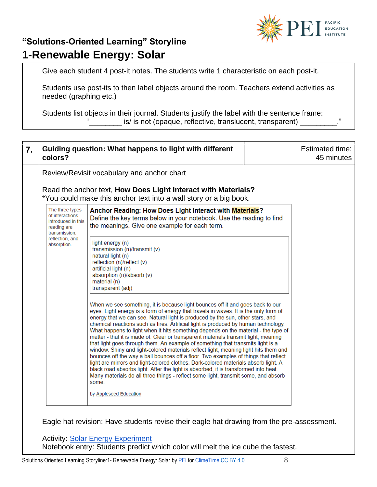

Give each student 4 post-it notes. The students write 1 characteristic on each post-it.

Students use post-its to then label objects around the room. Teachers extend activities as needed (graphing etc.)

Students list objects in their journal. Students justify the label with the sentence frame: is/ is not (opaque, reflective, translucent, transparent)

| 7. | colors?                                                                                  | Guiding question: What happens to light with different                                                                                                                                                                                                                                                                                                                                                                                                                                                                                                                                                                                                                                                                                                                                                                                                                                                                                                                                                                                                                      |  | Estimated time:<br>45 minutes |
|----|------------------------------------------------------------------------------------------|-----------------------------------------------------------------------------------------------------------------------------------------------------------------------------------------------------------------------------------------------------------------------------------------------------------------------------------------------------------------------------------------------------------------------------------------------------------------------------------------------------------------------------------------------------------------------------------------------------------------------------------------------------------------------------------------------------------------------------------------------------------------------------------------------------------------------------------------------------------------------------------------------------------------------------------------------------------------------------------------------------------------------------------------------------------------------------|--|-------------------------------|
|    | Review/Revisit vocabulary and anchor chart                                               |                                                                                                                                                                                                                                                                                                                                                                                                                                                                                                                                                                                                                                                                                                                                                                                                                                                                                                                                                                                                                                                                             |  |                               |
|    |                                                                                          | Read the anchor text, How Does Light Interact with Materials?<br>*You could make this anchor text into a wall story or a big book.                                                                                                                                                                                                                                                                                                                                                                                                                                                                                                                                                                                                                                                                                                                                                                                                                                                                                                                                          |  |                               |
|    | The three types<br>of interactions<br>introduced in this<br>reading are<br>transmission, | Anchor Reading: How Does Light Interact with Materials?<br>Define the key terms below in your notebook. Use the reading to find<br>the meanings. Give one example for each term.                                                                                                                                                                                                                                                                                                                                                                                                                                                                                                                                                                                                                                                                                                                                                                                                                                                                                            |  |                               |
|    | reflection, and<br>absorption.                                                           | light energy (n)<br>transmission (n)/transmit (v)<br>natural light (n)<br>reflection (n)/reflect (v)<br>artificial light (n)<br>absorption (n)/absorb (v)<br>material (n)<br>transparent (adj)                                                                                                                                                                                                                                                                                                                                                                                                                                                                                                                                                                                                                                                                                                                                                                                                                                                                              |  |                               |
|    |                                                                                          | When we see something, it is because light bounces off it and goes back to our<br>eyes. Light energy is a form of energy that travels in waves. It is the only form of<br>energy that we can see. Natural light is produced by the sun, other stars, and<br>chemical reactions such as fires. Artificial light is produced by human technology.<br>What happens to light when it hits something depends on the material - the type of<br>matter - that it is made of. Clear or transparent materials transmit light, meaning<br>that light goes through them. An example of something that transmits light is a<br>window. Shiny and light-colored materials reflect light, meaning light hits them and<br>bounces off the way a ball bounces off a floor. Two examples of things that reflect<br>light are mirrors and light-colored clothes. Dark-colored materials absorb light. A<br>black road absorbs light. After the light is absorbed, it is transformed into heat.<br>Many materials do all three things - reflect some light, transmit some, and absorb<br>some. |  |                               |
|    |                                                                                          | by Appleseed Education                                                                                                                                                                                                                                                                                                                                                                                                                                                                                                                                                                                                                                                                                                                                                                                                                                                                                                                                                                                                                                                      |  |                               |
|    |                                                                                          | Eagle hat revision: Have students revise their eagle hat drawing from the pre-assessment.<br><b>Activity: Solar Energy Experiment</b><br>Notebook entry: Students predict which color will melt the ice cube the fastest.                                                                                                                                                                                                                                                                                                                                                                                                                                                                                                                                                                                                                                                                                                                                                                                                                                                   |  |                               |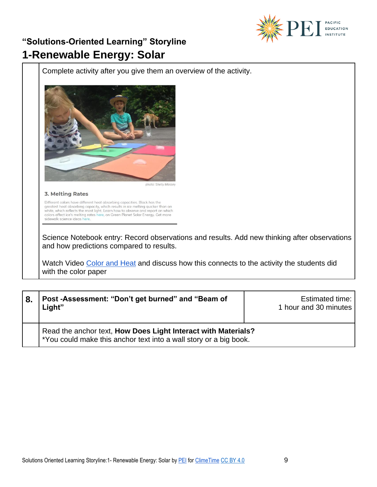

Complete activity after you give them an overview of the activity.



photo: Shelly Massey

3. Melting Rates

Different colors have different heat absorbing capacities. Black has the greatest heat absorbing capacity, which results in ice melting quicker than on white, which reflects the most light. Learn how to observe and report sidewalk science ideas he

Science Notebook entry: Record observations and results. Add new thinking after observations and how predictions compared to results.

Watch Video [Color and Heat](https://www.youtube.com/watch?v=YzJPYqzzOs4) and discuss how this connects to the activity the students did with the color paper

| 8. | Post -Assessment: "Don't get burned" and "Beam of<br>Light"                                                                        | <b>Estimated time:</b><br>1 hour and 30 minutes |
|----|------------------------------------------------------------------------------------------------------------------------------------|-------------------------------------------------|
|    | Read the anchor text, How Does Light Interact with Materials?<br>*You could make this anchor text into a wall story or a big book. |                                                 |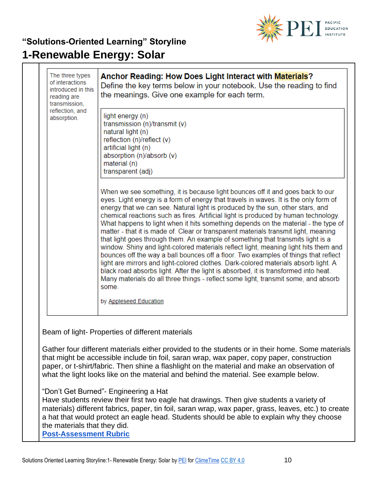

| The three types<br>of interactions<br>introduced in this<br>reading are<br>transmission, | Anchor Reading: How Does Light Interact with Materials?<br>Define the key terms below in your notebook. Use the reading to find<br>the meanings. Give one example for each term.                                                                                                                                                                                                                                                                                                                                                                                                                                                                                                                                                                                                                                                                                                                                                                                                                                                                                            |  |
|------------------------------------------------------------------------------------------|-----------------------------------------------------------------------------------------------------------------------------------------------------------------------------------------------------------------------------------------------------------------------------------------------------------------------------------------------------------------------------------------------------------------------------------------------------------------------------------------------------------------------------------------------------------------------------------------------------------------------------------------------------------------------------------------------------------------------------------------------------------------------------------------------------------------------------------------------------------------------------------------------------------------------------------------------------------------------------------------------------------------------------------------------------------------------------|--|
| reflection, and<br>absorption.                                                           | light energy (n)<br>transmission (n)/transmit (v)<br>natural light (n)<br>reflection (n)/reflect (v)<br>artificial light (n)<br>absorption (n)/absorb (v)<br>material (n)<br>transparent (adj)                                                                                                                                                                                                                                                                                                                                                                                                                                                                                                                                                                                                                                                                                                                                                                                                                                                                              |  |
|                                                                                          | When we see something, it is because light bounces off it and goes back to our<br>eyes. Light energy is a form of energy that travels in waves. It is the only form of<br>energy that we can see. Natural light is produced by the sun, other stars, and<br>chemical reactions such as fires. Artificial light is produced by human technology.<br>What happens to light when it hits something depends on the material - the type of<br>matter - that it is made of. Clear or transparent materials transmit light, meaning<br>that light goes through them. An example of something that transmits light is a<br>window. Shiny and light-colored materials reflect light, meaning light hits them and<br>bounces off the way a ball bounces off a floor. Two examples of things that reflect<br>light are mirrors and light-colored clothes. Dark-colored materials absorb light. A<br>black road absorbs light. After the light is absorbed, it is transformed into heat.<br>Many materials do all three things - reflect some light, transmit some, and absorb<br>some. |  |
|                                                                                          | by Appleseed Education                                                                                                                                                                                                                                                                                                                                                                                                                                                                                                                                                                                                                                                                                                                                                                                                                                                                                                                                                                                                                                                      |  |
|                                                                                          | Beam of light-Properties of different materials                                                                                                                                                                                                                                                                                                                                                                                                                                                                                                                                                                                                                                                                                                                                                                                                                                                                                                                                                                                                                             |  |
|                                                                                          | Gather four different materials either provided to the students or in their home. Some materials<br>that might be accessible include tin foil, saran wrap, wax paper, copy paper, construction<br>paper, or t-shirt/fabric. Then shine a flashlight on the material and make an observation of<br>what the light looks like on the material and behind the material. See example below.                                                                                                                                                                                                                                                                                                                                                                                                                                                                                                                                                                                                                                                                                     |  |
| the materials that they did.<br><b>Post-Assessment Rubric</b>                            | "Don't Get Burned" - Engineering a Hat<br>Have students review their first two eagle hat drawings. Then give students a variety of<br>materials) different fabrics, paper, tin foil, saran wrap, wax paper, grass, leaves, etc.) to create<br>a hat that would protect an eagle head. Students should be able to explain why they choose                                                                                                                                                                                                                                                                                                                                                                                                                                                                                                                                                                                                                                                                                                                                    |  |